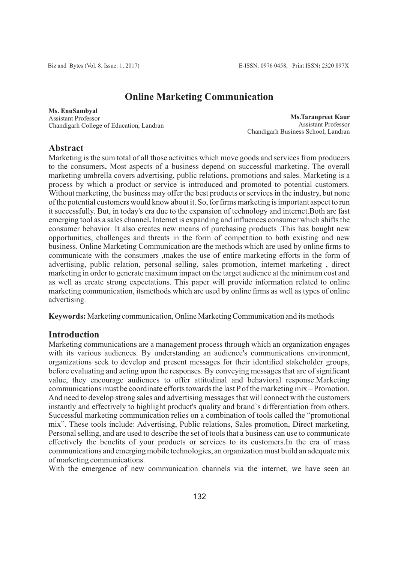# **Online Marketing Communication**

**Ms. EnuSambyal** Assistant Professor Chandigarh College of Education, Landran

**Ms.Taranpreet Kaur** Assistant Professor Chandigarh Business School, Landran

# **Abstract**

Marketing is the sum total of all those activities which move goods and services from producers to the consumers**.** Most aspects of a business depend on successful marketing. The overall marketing umbrella covers advertising, public relations, promotions and sales. Marketing is a process by which a product or service is introduced and promoted to potential customers. Without marketing, the business may offer the best products or services in the industry, but none of the potential customers would know about it. So, for firms marketing is important aspect to run it successfully. But, in today's era due to the expansion of technology and internet.Both are fast emerging tool as a sales channel**.** Internet is expanding and influences consumer which shifts the consumer behavior. It also creates new means of purchasing products .This has bought new opportunities, challenges and threats in the form of competition to both existing and new business. Online Marketing Communication are the methods which are used by online firms to communicate with the consumers ,makes the use of entire marketing efforts in the form of advertising, public relation, personal selling, sales promotion, internet marketing , direct marketing in order to generate maximum impact on the target audience at the minimum cost and as well as create strong expectations. This paper will provide information related to online marketing communication, itsmethods which are used by online firms as well as types of online advertising.

**Keywords:** Marketing communication, Online Marketing Communication and its methods

# **Introduction**

Marketing communications are a management process through which an organization engages with its various audiences. By understanding an audience's communications environment, organizations seek to develop and present messages for their identified stakeholder groups, before evaluating and acting upon the responses. By conveying messages that are of significant value, they encourage audiences to offer attitudinal and behavioral response.Marketing communications must be coordinate efforts towards the last Pof the marketing mix – Promotion. And need to develop strong sales and advertising messages that will connect with the customers instantly and effectively to highlight product's quality and brand`s differentiation from others. Successful marketing communication relies on a combination of tools called the "promotional mix". These tools include: Advertising, Public relations, Sales promotion, Direct marketing, Personal selling, and are used to describe the set of tools that a business can use to communicate effectively the benefits of your products or services to its customers.In the era of mass communications and emerging mobile technologies, an organization must build an adequate mix of marketing communications.

With the emergence of new communication channels via the internet, we have seen an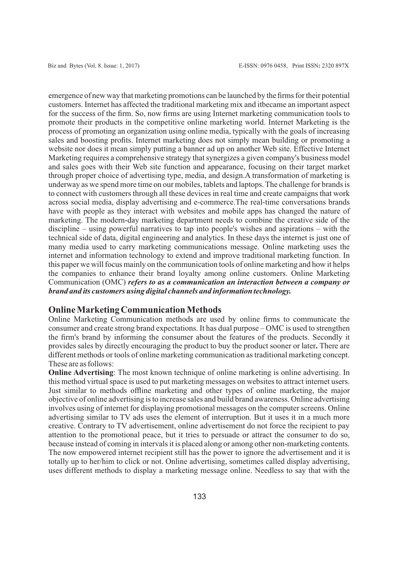emergence of new way that marketing promotions can be launched by the firms for their potential customers. Internet has affected the traditional marketing mix and itbecame an important aspect for the success of the firm. So, now firms are using Internet marketing communication tools to promote their products in the competitive online marketing world. Internet Marketing is the process of promoting an organization using online media, typically with the goals of increasing sales and boosting profits. Internet marketing does not simply mean building or promoting a website nor does it mean simply putting a banner ad up on another Web site. Effective Internet Marketing requires a comprehensive strategy that synergizes a given company's business model and sales goes with their Web site function and appearance, focusing on their target market through proper choice of advertising type, media, and design.A transformation of marketing is underway as we spend more time on our mobiles, tablets and laptops. The challenge for brands is to connect with customers through all these devices in real time and create campaigns that work across social media, display advertising and e-commerce.The real-time conversations brands have with people as they interact with websites and mobile apps has changed the nature of marketing. The modern-day marketing department needs to combine the creative side of the discipline – using powerful narratives to tap into people's wishes and aspirations – with the technical side of data, digital engineering and analytics. In these days the internet is just one of many media used to carry marketing communications message. Online marketing uses the internet and information technology to extend and improve traditional marketing function. In this paper we will focus mainly on the communication tools of online marketing and how it helps the companies to enhance their brand loyalty among online customers. Online Marketing Communication (OMC) *refers to as a communication an interaction between a company or brand and its customers using digital channels and information technology.*

#### **Online Marketing Communication Methods**

Online Marketing Communication methods are used by online firms to communicate the consumer and create strong brand expectations. It has dual purpose – OMC is used to strengthen the firm's brand by informing the consumer about the features of the products. Secondly it provides sales by directly encouraging the product to buy the product sooner or later**.** There are different methods or tools of online marketing communication as traditional marketing concept. These are as follows:

**Online Advertising**: The most known technique of online marketing is online advertising. In this method virtual space is used to put marketing messages on websites to attract internet users. Just similar to methods offline marketing and other types of online marketing, the major objective of online advertising is to increase sales and build brand awareness. Online advertising involves using of internet for displaying promotional messages on the computer screens. Online advertising similar to TV ads uses the element of interruption. But it uses it in a much more creative. Contrary to TV advertisement, online advertisement do not force the recipient to pay attention to the promotional peace, but it tries to persuade or attract the consumer to do so, because instead of coming in intervals it is placed along or among other non-marketing contents. The now empowered internet recipient still has the power to ignore the advertisement and it is totally up to her/him to click or not. Online advertising, sometimes called display advertising, uses different methods to display a marketing message online. Needless to say that with the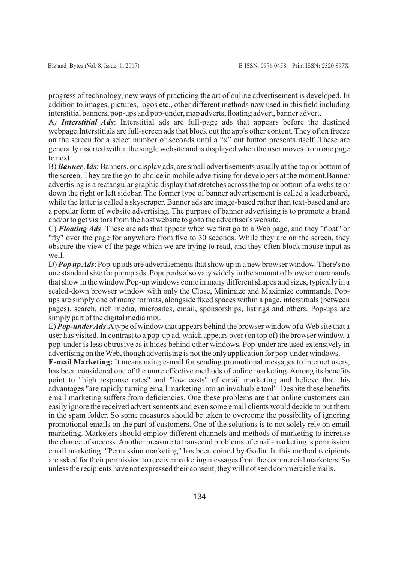progress of technology, new ways of practicing the art of online advertisement is developed. In addition to images, pictures, logos etc., other different methods now used in this field including interstitial banners, pop-ups and pop-under, map adverts, floating advert, banner advert.

A*) Interstitial Ads*: Interstitial ads are full-page ads that appears before the destined webpage.Interstitials are full-screen ads that block out the app's other content. They often freeze on the screen for a select number of seconds until a "x" out button presents itself. These are generally inserted within the single website and is displayed when the user moves from one page to next.

B) *Banner Ads*: Banners, or display ads, are small advertisements usually at the top or bottom of the screen. They are the go-to choice in mobile advertising for developers at the moment.Banner advertising is a rectangular graphic display that stretches across the top or bottom of a website or down the right or left sidebar. The former type of banner advertisement is called a leaderboard, while the latter is called a skyscraper. Banner ads are image-based rather than text-based and are a popular form of website advertising. The purpose of banner advertising is to promote a brand and/or to get visitors from the host website to go to the advertiser's website.

C) *Floating Ads* :These are ads that appear when we first go to a Web page, and they "float" or "fly" over the page for anywhere from five to 30 seconds. While they are on the screen, they obscure the view of the page which we are trying to read, and they often block mouse input as well.

D) *Pop up Ads*: Pop-up ads are advertisements that show up in a new browser window. There's no one standard size for popup ads. Popup ads also vary widely in the amount of browser commands that show in the window.Pop-up windows come in many different shapes and sizes, typically in a scaled-down browser window with only the Close, Minimize and Maximize commands. Popups are simply one of many formats, alongside fixed spaces within a page, interstitials (between pages), search, rich media, microsites, email, sponsorships, listings and others. Pop-ups are simply part of the digital media mix.

E) *Pop-under Ads*:Atype of window that appears behind the browser window of a Web site that a user has visited. In contrast to a pop-up ad, which appears over (on top of) the browser window, a pop-under is less obtrusive as it hides behind other windows. Pop-under are used extensively in advertising on the Web, though advertising is not the only application for pop-under windows.

**E-mail Marketing:** It means using e-mail for sending promotional messages to internet users, has been considered one of the more effective methods of online marketing. Among its benefits point to "high response rates" and "low costs" of email marketing and believe that this advantages "are rapidly turning email marketing into an invaluable tool". Despite these benefits email marketing suffers from deficiencies. One these problems are that online customers can easily ignore the received advertisements and even some email clients would decide to put them in the spam folder. So some measures should be taken to overcome the possibility of ignoring promotional emails on the part of customers. One of the solutions is to not solely rely on email marketing. Marketers should employ different channels and methods of marketing to increase the chance of success. Another measure to transcend problems of email-marketing is permission email marketing. "Permission marketing" has been coined by Godin. In this method recipients are asked for their permission to receive marketing messages from the commercial marketers. So unless the recipients have not expressed their consent, they will not send commercial emails.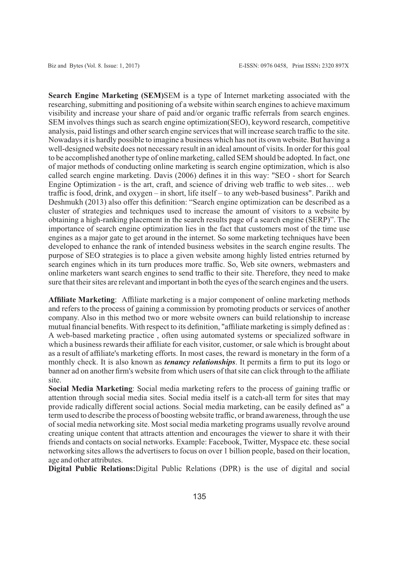**Search Engine Marketing (SEM)**SEM is a type of Internet marketing associated with the researching, submitting and positioning of a website within search engines to achieve maximum visibility and increase your share of paid and/or organic traffic referrals from search engines. SEM involves things such as search engine optimization(SEO), keyword research, competitive analysis, paid listings and other search engine services that will increase search traffic to the site. Nowadays it is hardly possible to imagine a business which has not its own website. But having a well-designed website does not necessary result in an ideal amount of visits. In order for this goal to be accomplished another type of online marketing, called SEM should be adopted. In fact, one of major methods of conducting online marketing is search engine optimization, which is also called search engine marketing. Davis (2006) defines it in this way: "SEO - short for Search Engine Optimization - is the art, craft, and science of driving web traffic to web sites… web traffic is food, drink, and oxygen – in short, life itself – to any web-based business". Parikh and Deshmukh (2013) also offer this definition: "Search engine optimization can be described as a cluster of strategies and techniques used to increase the amount of visitors to a website by obtaining a high-ranking placement in the search results page of a search engine (SERP)". The importance of search engine optimization lies in the fact that customers most of the time use engines as a major gate to get around in the internet. So some marketing techniques have been developed to enhance the rank of intended business websites in the search engine results. The purpose of SEO strategies is to place a given website among highly listed entries returned by search engines which in its turn produces more traffic. So, Web site owners, webmasters and online marketers want search engines to send traffic to their site. Therefore, they need to make sure that their sites are relevant and important in both the eyes of the search engines and the users.

**Affiliate Marketing**: Affiliate marketing is a major component of online marketing methods and refers to the process of gaining a commission by promoting products or services of another company. Also in this method two or more website owners can build relationship to increase mutual financial benefits. With respect to its definition, "affiliate marketing is simply defined as : A web-based marketing practice , often using automated systems or specialized software in which a business rewards their affiliate for each visitor, customer, or sale which is brought about as a result of affiliate's marketing efforts. In most cases, the reward is monetary in the form of a monthly check. It is also known as *tenancy relationships*. It permits a firm to put its logo or banner ad on another firm's website from which users of that site can click through to the affiliate site.

**Social Media Marketing**: Social media marketing refers to the process of gaining traffic or attention through social media sites. Social media itself is a catch-all term for sites that may provide radically different social actions. Social media marketing, can be easily defined as" a term used to describe the process of boosting website traffic, or brand awareness, through the use of social media networking site. Most social media marketing programs usually revolve around creating unique content that attracts attention and encourages the viewer to share it with their friends and contacts on social networks. Example: Facebook, Twitter, Myspace etc. these social networking sites allows the advertisers to focus on over 1 billion people, based on their location, age and other attributes.

**Digital Public Relations:**Digital Public Relations (DPR) is the use of digital and social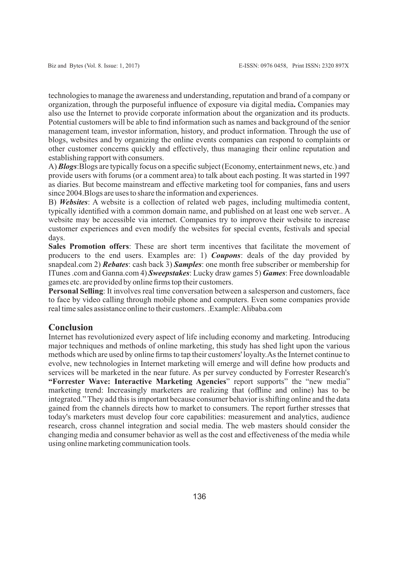technologies to manage the awareness and understanding, reputation and brand of a company or organization, through the purposeful influence of exposure via digital media**.** Companies may also use the Internet to provide corporate information about the organization and its products. Potential customers will be able to find information such as names and background of the senior management team, investor information, history, and product information. Through the use of blogs, websites and by organizing the online events companies can respond to complaints or other customer concerns quickly and effectively, thus managing their online reputation and establishing rapport with consumers.

A) *Blogs*:Blogs are typically focus on a specific subject (Economy, entertainment news, etc.) and provide users with forums (or a comment area) to talk about each posting. It was started in 1997 as diaries. But become mainstream and effective marketing tool for companies, fans and users since 2004.Blogs are uses to share the information and experiences.

B) *Websites*: A website is a collection of related web pages, including multimedia content, typically identified with a common domain name, and published on at least one web server.. A website may be accessible via internet. Companies try to improve their website to increase customer experiences and even modify the websites for special events, festivals and special days.

**Sales Promotion offers**: These are short term incentives that facilitate the movement of producers to the end users. Examples are: 1) *Coupons*: deals of the day provided by snapdeal.com 2) *Rebates*: cash back 3) *Samples*: one month free subscriber or membership for ITunes .com and Ganna.com 4) *Sweepstakes*: Lucky draw games 5) *Games*: Free downloadable games etc. are provided by online firms top their customers.

**Personal Selling**: It involves real time conversation between a salesperson and customers, face to face by video calling through mobile phone and computers. Even some companies provide real time sales assistance online to their customers. .Example: Alibaba.com

# **Conclusion**

Internet has revolutionized every aspect of life including economy and marketing. Introducing major techniques and methods of online marketing, this study has shed light upon the various methods which are used by online firms to tap their customers' loyalty.As the Internet continue to evolve, new technologies in Internet marketing will emerge and will define how products and services will be marketed in the near future. As per survey conducted by Forrester Research's **"Forrester Wave: Interactive Marketing Agencies**" report supports" the "new media" marketing trend: Increasingly marketers are realizing that (offline and online) has to be integrated." They add this is important because consumer behavior is shifting online and the data gained from the channels directs how to market to consumers. The report further stresses that today's marketers must develop four core capabilities: measurement and analytics, audience research, cross channel integration and social media. The web masters should consider the changing media and consumer behavior as well as the cost and effectiveness of the media while using online marketing communication tools.